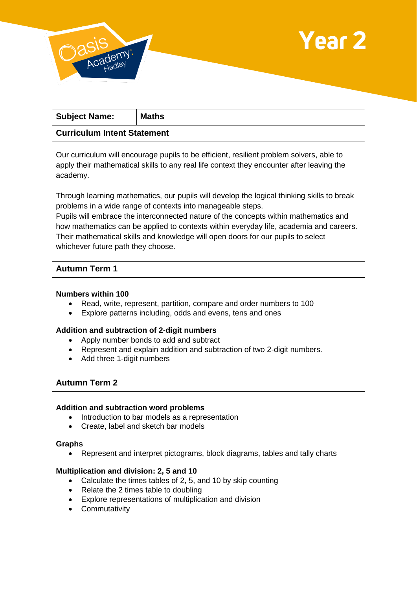



| <b>Subject Name:</b>                                                                                                                                                                              | <b>Maths</b>                                                                                                                                                                                                                                      |
|---------------------------------------------------------------------------------------------------------------------------------------------------------------------------------------------------|---------------------------------------------------------------------------------------------------------------------------------------------------------------------------------------------------------------------------------------------------|
| <b>Curriculum Intent Statement</b>                                                                                                                                                                |                                                                                                                                                                                                                                                   |
| Our curriculum will encourage pupils to be efficient, resilient problem solvers, able to<br>apply their mathematical skills to any real life context they encounter after leaving the<br>academy. |                                                                                                                                                                                                                                                   |
|                                                                                                                                                                                                   | Through learning mathematics, our pupils will develop the logical thinking skills to break<br>problems in a wide range of contexts into manageable steps.<br>Pupils will embrace the interconnected nature of the concepts within mathematics and |

how mathematics can be applied to contexts within everyday life, academia and careers. Their mathematical skills and knowledge will open doors for our pupils to select whichever future path they choose.

# **Autumn Term 1**

### **Numbers within 100**

- Read, write, represent, partition, compare and order numbers to 100
- Explore patterns including, odds and evens, tens and ones

### **Addition and subtraction of 2-digit numbers**

- Apply number bonds to add and subtract
- Represent and explain addition and subtraction of two 2-digit numbers.
- Add three 1-digit numbers

# **Autumn Term 2**

### **Addition and subtraction word problems**

- Introduction to bar models as a representation
- Create, label and sketch bar models

#### **Graphs**

Represent and interpret pictograms, block diagrams, tables and tally charts

### **Multiplication and division: 2, 5 and 10**

- Calculate the times tables of 2, 5, and 10 by skip counting
- Relate the 2 times table to doubling
- Explore representations of multiplication and division
- Commutativity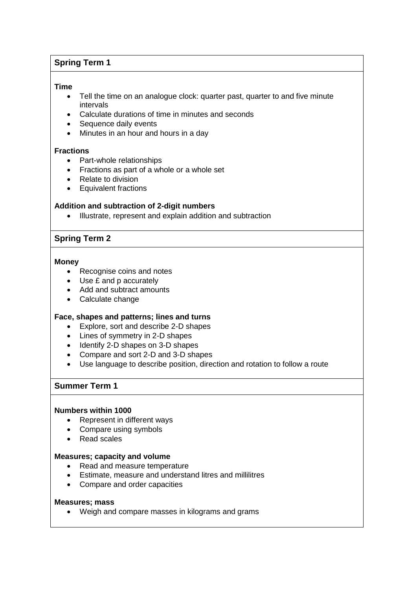# **Spring Term 1**

#### **Time**

- Tell the time on an analogue clock: quarter past, quarter to and five minute intervals
- Calculate durations of time in minutes and seconds
- Sequence daily events
- Minutes in an hour and hours in a day

#### **Fractions**

- Part-whole relationships
- Fractions as part of a whole or a whole set
- Relate to division
- Equivalent fractions

### **Addition and subtraction of 2-digit numbers**

Illustrate, represent and explain addition and subtraction

### **Spring Term 2**

#### **Money**

- Recognise coins and notes
- Use £ and p accurately
- Add and subtract amounts
- Calculate change

### **Face, shapes and patterns; lines and turns**

- Explore, sort and describe 2-D shapes
- Lines of symmetry in 2-D shapes
- Identify 2-D shapes on 3-D shapes
- Compare and sort 2-D and 3-D shapes
- Use language to describe position, direction and rotation to follow a route

## **Summer Term 1**

#### **Numbers within 1000**

- Represent in different ways
- Compare using symbols
- Read scales

#### **Measures; capacity and volume**

- Read and measure temperature
- Estimate, measure and understand litres and millilitres
- Compare and order capacities

#### **Measures; mass**

Weigh and compare masses in kilograms and grams